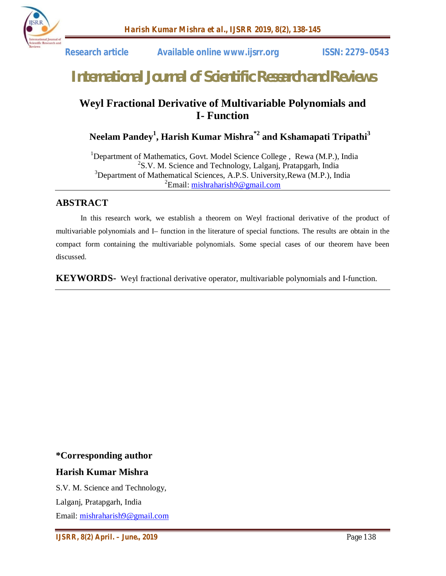

 **Research article Available online www.ijsrr.org ISSN: 2279–0543**

# *International Journal of Scientific Research and Reviews*

# **Weyl Fractional Derivative of Multivariable Polynomials and I- Function**

 **Neelam Pandey<sup>1</sup> , Harish Kumar Mishra\*2 and Kshamapati Tripathi<sup>3</sup>**

<sup>1</sup>Department of Mathematics, Govt. Model Science College, Rewa (M.P.), India 2  ${}^{2}$ S.V. M. Science and Technology, Lalganj, Pratapgarh, India  $3$ Department of Mathematical Sciences, A.P.S. University, Rewa (M.P.), India <sup>2</sup>Email: <u>mishraharish9@gmail.com</u>

# **ABSTRACT**

In this research work, we establish a theorem on Weyl fractional derivative of the product of multivariable polynomials and I– function in the literature of special functions. The results are obtain in the compact form containing the multivariable polynomials. Some special cases of our theorem have been discussed.

**KEYWORDS-** Weyl fractional derivative operator, multivariable polynomials and I-function.

**\*Corresponding author**

## **Harish Kumar Mishra**

S.V. M. Science and Technology,

Lalganj, Pratapgarh, India

Email: mishraharish9@gmail.com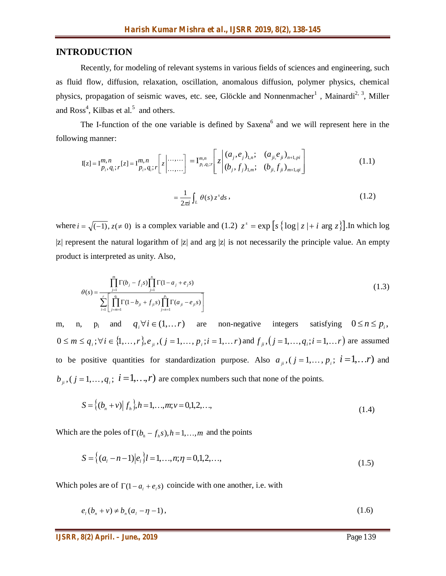#### **INTRODUCTION**

Recently, for modeling of relevant systems in various fields of sciences and engineering, such as fluid flow, diffusion, relaxation, oscillation, anomalous diffusion, polymer physics, chemical physics, propagation of seismic waves, etc. see, Glöckle and Nonnenmacher<sup>1</sup>, Mainardi<sup>2, 3</sup>, Miller and  $Ross<sup>4</sup>$ , Kilbas et al.<sup>5</sup> and others.

The I-function of the one variable is defined by Saxena<sup>6</sup> and we will represent here in the following manner:

$$
\mathbf{I}[z] = \mathbf{I}_{p_i, q_i; r}^{m, n}[z] = \mathbf{I}_{p_i, q_i; r}^{m, n} \left[ z \Big| \dots \dots \Big| \right] = \mathbf{I}_{p_i, q_i; r}^{m, n} \left[ z \Big| \frac{(a_j, e_j)_{1, n}; (a_{ji}, e_{ji})_{n+1, pi}}{(b_j, f_j)_{1, m}; (b_{ji}, f_{ji})_{m+1, qi}} \right]
$$
(1.1)

$$
=\frac{1}{2\pi i}\int_{L}\theta(s)\,z^{s}ds\,,\tag{1.2}
$$

where  $i = \sqrt{(-1)}$ ,  $z \neq 0$  is a complex variable and (1.2)  $z^s = \exp \left[ s \left\{ \log |z| + i \arg z \right\} \right]$ . In which log |z| represent the natural logarithm of |z| and arg |z| is not necessarily the principle value. An empty product is interpreted as unity. Also,

$$
\theta(s) = \frac{\prod_{j=1}^{m} \Gamma(b_j - f_j s) \prod_{j=1}^{n} \Gamma(1 - a_j + e_j s)}{\sum_{i=1}^{r} \left[ \prod_{j=m+1}^{q_i} \Gamma(1 - b_{ji} + f_{ji} s) \prod_{j=n+1}^{p_i} \Gamma(a_{ji} - e_{ji} s) \right]}
$$
(1.3)

m, n, p<sub>i</sub> and  $q_i \forall i \in (1, \dots r)$  are non-negative integers satisfying  $0 \le n \le p_i$ ,  $0 \le m \le q_i$ ;  $\forall i \in \{1, ..., r\}$ ,  $e_{ji}$ ,  $(j = 1, ..., p_i; i = 1, ..., r)$  and  $f_{ji}$ ,  $(j = 1, ..., q_i; i = 1, ..., r)$  are assumed to be positive quantities for standardization purpose. Also  $a_{ji}$ ,  $(j = 1, ..., p_i; i = 1, ...r)$  and  $b_{ji}$ ,  $(j = 1, ..., q_i; i = 1, ..., r)$  are complex numbers such that none of the points.

$$
S = \{(b_n + v) | f_h\}, h = 1, ..., m; v = 0, 1, 2, ..., \tag{1.4}
$$

Which are the poles of  $\Gamma(b_h - f_h s)$ ,  $h = 1, \dots, m$  and the points

$$
S = \left\{ (a_i - n - 1)|e_i \right\} l = 1, \dots, n; \eta = 0, 1, 2, \dots,
$$
\n(1.5)

Which poles are of  $\Gamma(1 - a_i + e_i s)$  coincide with one another, i.e. with

$$
e_1(b_n + v) \neq b_n(a_1 - \eta - 1),
$$
\n(1.6)

*IJSRR, 8(2) April. – June., 2019* Page 139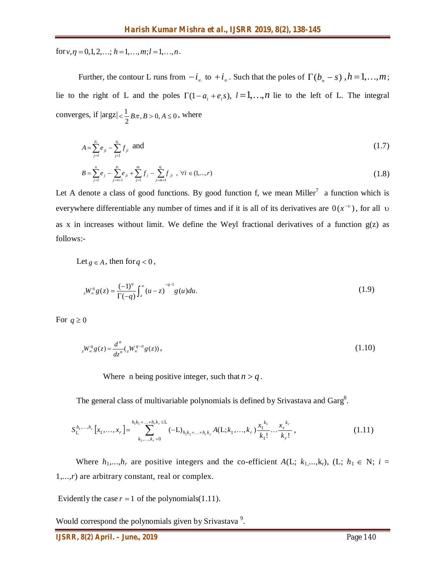for  $v, \eta = 0, 1, 2, \ldots; h = 1, \ldots, m; l = 1, \ldots, n$ .

Further, the contour L runs from  $-i_{\infty}$  to  $+i_{\infty}$ . Such that the poles of  $\Gamma(b_n - s)$ ,  $h = 1,...,m$ ; lie to the right of L and the poles  $\Gamma(1 - a_i + e_i s)$ ,  $l = 1, ..., n$  lie to the left of L. The integral converges, if  $|\arg z| < \frac{1}{2} B\pi, B > 0, A \le 0$  $\lt \frac{1}{2} B \pi, B > 0, A \leq 0$ , where

$$
A = \sum_{j=1}^{p_i} e_{ji} - \sum_{j=1}^{q_i} f_{ji} \quad \text{and} \tag{1.7}
$$

$$
B = \sum_{j=1}^{n} e_j - \sum_{j=n+1}^{p_i} e_{ji} + \sum_{j=1}^{m} f_j - \sum_{j=m+1}^{q_i} f_{ji} , \forall i \in (1,...,r)
$$
 (1.8)

Let A denote a class of good functions. By good function f, we mean Miller<sup>7</sup> a function which is everywhere differentiable any number of times and if it is all of its derivatives are  $0(x^{-\nu})$ , for all v as x in increases without limit. We define the Weyl fractional derivatives of a function  $g(z)$  as follows:-

Let 
$$
g \in A
$$
, then for  $q < 0$ ,

$$
{}_{z}W_{\infty}^{q}g(z) = \frac{(-1)^{q}}{\Gamma(-q)} \int_{z}^{\infty} (u-z)^{-q-1} g(u) du.
$$
 (1.9)

For  $q \ge 0$ 

$$
{}_{z}W_{\infty}^{q}g(z) = \frac{d^{n}}{dz^{n}} \left( {}_{z}W_{\infty}^{q-n}g(z) \right),
$$
\n(1.10)

Where n being positive integer, such that  $n > q$ .

The general class of multivariable polynomials is defined by Srivastava and Garg $8$ .

$$
S_{\mathcal{L}}^{h_1,...,h_r}\left[x_1,...,x_r\right] = \sum_{k_1,...,k_r=0}^{h_1k_1+...+h_rk_r \leq \mathcal{L}} (-\mathcal{L})_{h_1k_1+...+h_rk_r} A(\mathcal{L};k_1,...,k_r) \frac{x_1^{k_1}}{k_1!} \cdots \frac{x_r^{k_r}}{k_r!},
$$
\n(1.11)

Where  $h_1,...,h_r$  are positive integers and the co-efficient  $A(L; k_1,...,k_r)$ ,  $(L; h_1 \in N; i =$ 1,...,*r*) are arbitrary constant, real or complex.

Evidently the case  $r = 1$  of the polynomials(1.11).

Would correspond the polynomials given by Srivastava<sup>9</sup>.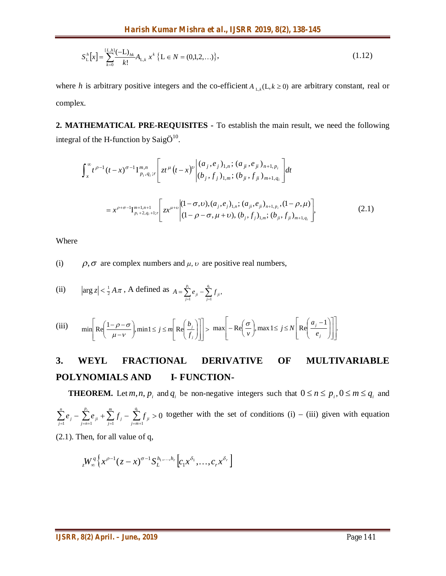$$
S_{\mathcal{L}}^{h}[x] = \sum_{k=0}^{[L,h]} \frac{(-L)_{hk}}{k!} A_{\mathcal{L},k} x^{k} \{ L \in N = (0,1,2,...) \},
$$
\n(1.12)

where *h* is arbitrary positive integers and the co-efficient  $A_{L,k}(L, k \ge 0)$  are arbitrary constant, real or complex.

**2. MATHEMATICAL PRE-REQUISITES -** To establish the main result, we need the following integral of the H-function by Saig $\ddot{O}^{10}$ .

$$
\int_{x}^{\infty} t^{\rho-1} (t-x)^{\sigma-1} \Gamma_{p_i, q_i; r}^{m, n} \left[ z t^{\mu} (t-x)^{\nu} \begin{vmatrix} (a_j, e_j)_{1,n}; (a_{ji}, e_{ji})_{n+1, p_i} \\ (b_j, f_j)_{1,m}; (b_{ji}, f_{ji})_{m+1, q_i} \end{vmatrix} dt \right]
$$
\n
$$
= x^{\rho+\sigma-1} \Gamma_{p_i+2, q_i+1; r}^{m+1, n+1} \left[ z x^{\mu+\nu} \begin{vmatrix} (1-\sigma, \nu), (a_j, e_j)_{1,n}; (a_{ji}, e_{ji})_{n+1, p_i}, (1-\rho, \mu) \\ (1-\rho-\sigma, \mu+\nu), (b_j, f_j)_{1,m}; (b_{ji}, f_{ji})_{m+1, q_i} \end{vmatrix}, \tag{2.1}
$$

Where

(i)  $\rho, \sigma$  are complex numbers and  $\mu, \nu$  are positive real numbers,

(ii) 
$$
|\arg z| < \frac{1}{2} A \pi
$$
, A defined as  $A = \sum_{j=1}^{p_i} e_{ji} - \sum_{j=1}^{q_i} f_{ji}$ ,

$$
\text{(iii)} \qquad \min \left[ \text{Re} \left( \frac{1 - \rho - \sigma}{\mu - \nu} \right), \min 1 \le j \le m \left[ \text{Re} \left( \frac{b_j}{f_j} \right) \right] \right] > \max \left[ -\text{Re} \left( \frac{\sigma}{\nu} \right), \max 1 \le j \le N \left[ \text{Re} \left( \frac{a_j - 1}{e_j} \right) \right] \right].
$$

# **3. WEYL FRACTIONAL DERIVATIVE OF MULTIVARIABLE POLYNOMIALS AND I- FUNCTION-**

**THEOREM.** Let *m*, *n*, *p*<sub>*i*</sub> and *q*<sub>*i*</sub> be non-negative integers such that  $0 \le n \le p$ <sub>*i*</sub>,  $0 \le m \le q$ <sub>*i*</sub> and 0  $\sum_{j=1}^{}e_{j} - \sum_{j=n+1}^{}e_{ji} + \sum_{j=1}^{}f_{j} - \sum_{j=m+1}^{}f_{ji} >$  $i$  *m*  $q_i$  $\sum_{j=m+1}^{J}$  *ji m j j p*  $\sum_{j=n+1}$  *i n*  $\sum_{j=1}^{n} e_j - \sum_{j=n+1}^{n} e_j + \sum_{j=1}^{n} f_j - \sum_{j=m+1}^{n} f_j > 0$  together with the set of conditions (i) – (iii) given with equation

(2.1). Then, for all value of q,

$$
{}_{z}W_{\infty}^{q} \left\{ x^{\rho-1}(z-x)^{\sigma-1} S_{L}^{h_{1},...,h_{r}} \left[c_{1}x^{\delta_{1}},...,c_{r}x^{\delta_{r}} \right] \right\}
$$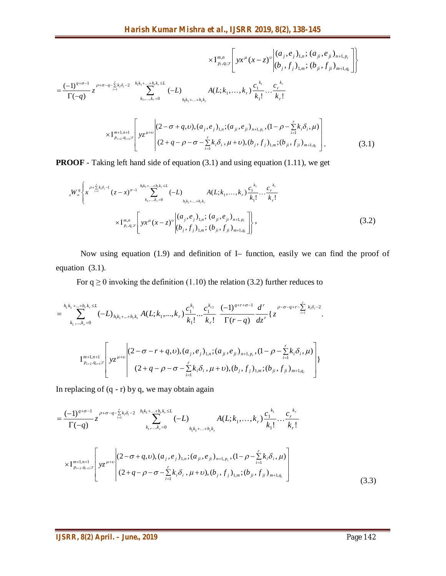$$
\times I_{p_i,q_i,r}^{m,n} \left[ y x^{\mu} (x-z)^{\nu} \begin{pmatrix} (a_j, e_j)_{1,n}; (a_{ji}, e_{ji})_{n+1, p_i} \\ (b_j, f_j)_{1,m}; (b_{ji}, f_{ji})_{m+1, q_i} \end{pmatrix} \right]
$$
  
= 
$$
\frac{(-1)^{q+\sigma-1}}{\Gamma(-q)} z^{\rho+\sigma-q-\sum_{i=1}^{r} k_i \delta_i-2} \sum_{h_1k_1+...+h_rk_r=0}^{h_1k_1+...+h_rk_r} (-L) \underset{h_1k_1+...+h_rk_r}{A(L;k_1,...,k_r)} \frac{c_1^{k_1}}{k_1!} ... \frac{c_r^{k_r}}{k_r!}
$$
  

$$
\times I_{p_{i+2},q_{i+1},r}^{m+1,n+1} \left[ y z^{\mu+\nu} \begin{pmatrix} (2-\sigma+q,\nu), (a_j, e_j)_{1,n}; (a_{ji}, e_{ji})_{n+1, p_i}, (1-\rho-\sum_{i=1}^{r} k_i \delta_i, \mu) \\ (2+q-\rho-\sigma-\sum_{i=1}^{r} k_i \delta_i, \mu+\nu), (b_j, f_j)_{1,m}; (b_{ji}, f_{ji})_{m+1, q_i} \end{pmatrix} .
$$
(3.1)

**PROOF** - Taking left hand side of equation (3.1) and using equation (1.11), we get

$$
{}_{z}W_{\infty}^{q}\left\{x^{\rho+\sum_{i=1}^{r}k_{i}\delta_{i}-1}(z-x)^{\sigma-1}\sum_{k_{1},...,k_{r}=0}^{h_{1}k_{1}+...+h_{r}k_{r}\leq L}(-L)A(L;k_{1},...,k_{r})\frac{c_{1}^{k_{1}}}{k_{1}!}...\frac{c_{r}^{k_{r}}}{k_{r}!}\right\}\times I_{p_{i},q_{i};r}^{m,n}\left[yx^{\mu}(x-z)^{\nu}\left| \begin{array}{c} (a_{j},e_{j})_{1,n}; (a_{ji},e_{ji})_{n+1,p_{i}}\\ (b_{j},f_{j})_{1,m}; (b_{ji},f_{ji})_{m+1,q_{i}} \end{array}\right| \right\},
$$
\n(3.2)

Now using equation (1.9) and definition of I– function, easily we can find the proof of equation (3.1).

For  $q \ge 0$  invoking the definition (1.10) the relation (3.2) further reduces to

$$
= \sum_{k_1,\dots,k_r=0}^{h_1k_1+\dots+h_rk_r \le L} (-L)_{h_1k_1+\dots+h_rk_r} A(L;k_1,\dots,k_r) \frac{c_1^{k_1}}{k_1!} \dots \frac{c_1^{k_{r_1}}}{k_r!} \frac{(-1)^{q+r+\sigma-1}}{\Gamma(r-q)} \frac{d^r}{dz^r} \{z^{\rho-\sigma-q+r-\sum_{i=1}^r k_i\delta_i-2}.
$$
  

$$
\left.\prod_{k_1,\dots,k_r=0}^{m+1,n+1} yz^{\mu+\nu} \right| (2-\sigma-r+q,\nu), (a_j,e_j)_{1,n}; (a_{ji},e_{ji})_{n+1,p_i}, (1-\rho-\sum_{i=1}^r k_i\delta_i,\mu)\right] \} (2+q-\rho-\sigma-\sum_{i=1}^r k_i\delta_i, \mu+\nu), (b_j,f_j)_{1,m}; (b_{ji},f_{ji})_{m+1,q_i}\}
$$

In replacing of  $(q - r)$  by q, we may obtain again

$$
= \frac{(-1)^{q+\sigma-1}}{\Gamma(-q)} z^{p+\sigma-q-\sum_{i=1}^{r}k_{i}\delta_{i}-2} \sum_{k_{1},...,k_{r}=0}^{h_{1}k_{1}+...+h_{r}k_{r}\leq L} (-L) \frac{A(L;k_{1},...,k_{r}) \frac{c_{1}^{k_{1}}}{k_{1}!}... \frac{c_{r}^{k_{r}}}{k_{r}!}}{k_{1}!} \cdots \frac{c_{r}^{k_{r}}}{k_{r}!}
$$

$$
\times I_{p_{i+2},q_{i+1}:r}^{m+1,n+1} \left[ yz^{\mu+\nu} \middle| (2-\sigma+q,\nu),(a_{j},e_{j})_{1,n};(a_{ji},e_{ji})_{n+1,p_{i}},(1-\rho-\sum_{i=1}^{r}k_{i}\delta_{i},\mu) \right] (2+q-\rho-\sigma-\sum_{i=1}^{r}k_{i}\delta_{i},\mu+\nu),(b_{j},f_{j})_{1,m};(b_{ji},f_{ji})_{m+1,q_{i}} \right]
$$
(3.3)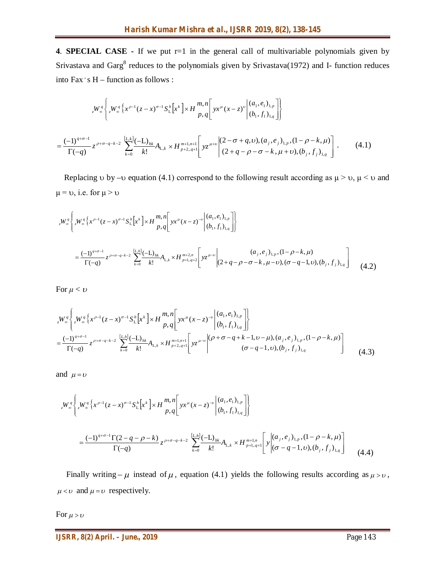**4**. **SPECIAL CASE -** If we put r=1 in the general call of multivariable polynomials given by Srivastava and Garg $<sup>8</sup>$  reduces to the polynomials given by Srivastava(1972) and I- function reduces</sup> into Fax 's H – function as follows :

$$
{}_{z}W_{\infty}^{q} \left\{ {}_{z}W_{\infty}^{q} \left\{ x^{\rho-1} (z-x)^{\sigma-1} S_{L}^{h} \left[ x^{k} \right] \times H \frac{m_{\eta} n}{p_{\eta} q} \left[ yx^{\mu} (x-z)^{\nu} \left| \begin{array}{c} (a_{1}, e_{1})_{1, p} \\ (b_{1}, f_{1})_{1, q} \end{array} \right] \right\} \right\}
$$
  
= 
$$
\frac{(-1)^{q+\sigma-1}}{\Gamma(-q)} z^{\rho+\sigma-q-k-2} \sum_{k=0}^{[L,k]} \frac{(-L)_{hk}}{k!} A_{L,k} \times H_{p+2,q+1}^{m+1,n+1} \left[ yz^{\mu+\nu} \left| \begin{array}{c} (2-\sigma+q, \nu), (a_{j}, e_{j})_{1, p}, (1-\rho-k, \mu) \\ (2+q-\rho-\sigma-k, \mu+\nu), (b_{j}, f_{j})_{1, q} \end{array} \right] \right].
$$
 (4.1)

Replacing  $\upsilon$  by – $\upsilon$  equation (4.1) correspond to the following result according as  $\mu > \upsilon$ ,  $\mu < \upsilon$  and  $\mu = \nu$ , i.e. for  $\mu > \nu$ 

$$
{}_{z}W_{\infty}^{q} \left\{ {}_{z}W_{\infty}^{q} \left\{ x^{\rho-1} (z-x)^{\sigma-1} S_{L}^{h} \left[ x^{k} \right] \times H \frac{m_{n} n}{p_{n} q} \left[ y x^{\mu} (x-z)^{-\nu} \left| \begin{array}{c} (a_{1}, e_{1})_{1, p} \\ (b_{1}, f_{1})_{1, q} \end{array} \right] \right\} \right\}
$$
  

$$
= \frac{(-1)^{q+\sigma-1}}{\Gamma(-q)} z^{\rho+\sigma-q-k-2} \sum_{k=0}^{\lfloor L, h \rfloor} \frac{(-L)_{hk}}{k!} A_{L,k} \times H \frac{m+2, n}{p+1, q+2} \left[ y z^{\mu-\nu} \left| \begin{array}{c} (a_{1}, e_{1})_{1, p}, (1-\rho-k, \mu) \\ (2+q-\rho-\sigma-k, \mu-\nu), (\sigma-q-1, \nu), (b_{1}, f_{1})_{1, q} \end{array} \right] \right\}
$$
(4.2)

For  $\mu < \upsilon$ 

$$
{}_{z}W_{\infty}^{q} \left\{ {}_{z}W_{\infty}^{q} \left\{ x^{\rho-1} (z-x)^{\sigma-1} S_{L}^{h} \left[ x^{k} \right] \times H \frac{m,n}{p,q} \left[ yx^{\mu} (x-z)^{-\nu} \left| \begin{array}{c} (a_{1}, e_{1})_{1,p} \\ (b_{1}, f_{1})_{1,q} \end{array} \right] \right\} \right\}
$$
  
= 
$$
\frac{(-1)^{q+\sigma-1}}{\Gamma(-q)} z^{\rho+\sigma-q-k-2} \sum_{k=0}^{\lfloor L,h \rfloor} \frac{(-L)_{hk}}{k!} A_{L,k} \times H \frac{m+1,n+1}{p+2,q+1} \left[ yz^{\mu-\nu} \left| \begin{array}{c} (p+\sigma-q+k-1, \nu-\mu), (a_{j}, e_{j})_{1,p}, (1-\rho-k, \mu) \\ (\sigma-q-1, \nu), (b_{j}, f_{j})_{1,q} \end{array} \right] \right\}
$$
(4.3)

and  $\mu = v$ 

$$
{}_{z}W_{\infty}^{q} \left\{ {}_{z}W_{\infty}^{q} \left\{ x^{\rho-1} (z-x)^{\sigma-1} S_{L}^{h} \left[ x^{k} \right] \times H \frac{m, n}{p, q} \left[ yx^{\mu} (x-z)^{-\nu} \left| \frac{(a_{1}, e_{1})_{1, p}}{(b_{1}, f_{1})_{1, q}} \right] \right\} \right\}
$$
  

$$
= \frac{(-1)^{q+\sigma-1} \Gamma(2-q-\rho-k)}{\Gamma(-q)} z^{\rho+\sigma-q-k-2} \sum_{k=0}^{\lfloor L, h \rfloor} \frac{(-L)_{hk}}{k!} A_{L,k} \times H \frac{m+1, n}{p+1, q+1} \left[ y \left| \frac{(a_{j}, e_{j})_{1, p}}{(\sigma-q-1, \nu), (b_{j}, f_{j})_{1, q}} \right] \right] (4.4)
$$

Finally writing  $-\mu$  instead of  $\mu$ , equation (4.1) yields the following results according as  $\mu > \nu$ ,  $\mu < v$  and  $\mu = v$  respectively.

For  $\mu > \nu$ 

*IJSRR, 8(2) April. – June., 2019* **Page 143**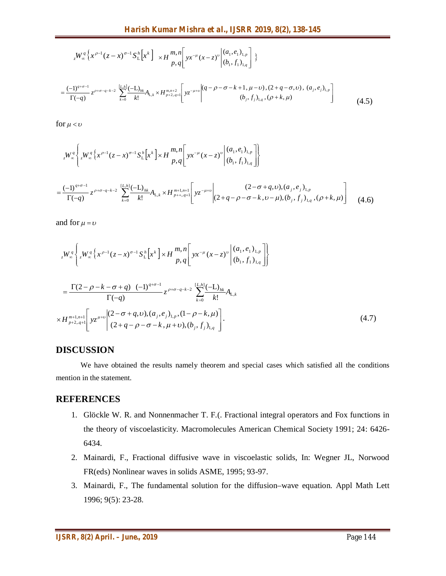$$
{}_{z}W_{\infty}^{q}\left\{x^{\rho-1}(z-x)^{\sigma-1}S_{L}^{h}\left[x^{k}\right]\right\} \times H_{p,q}^{m,n}\left[yx^{-\mu}(x-z)^{\nu}\left|\begin{array}{l}\left(a_{1},e_{1}\right)_{1,p}\\ \left(b_{1},f_{1}\right)_{1,q}\right]\end{array}\right\}
$$
\n
$$
=\frac{(-1)^{q+\sigma-1}}{\Gamma(-q)}z^{\rho+\sigma-q-k-2}\sum_{k=0}^{\lfloor L, h\rfloor}\frac{(-L)_{hk}}{k!}A_{L,k} \times H_{p+2,q+1}^{m,n+2}\left[yz^{-\mu+\nu}\left|\begin{array}{l}\left(q-\rho-\sigma-k+1,\mu-\nu\right),(2+q-\sigma,\nu),(a_{j},e_{j})_{1,p}\\ \left(b_{j},f_{j}\right)_{1,q},(\rho+k,\mu)\end{array}\right]\right]
$$
\n
$$
(4.5)
$$

for  $\mu < v$ 

$$
{}_{z}W_{\infty}^{q} \left\{ {}_{z}W_{\infty}^{q} \left\{ {}_{x}\rho^{-1}(z-x)^{\sigma-1} S_{L}^{h} \left[ x^{k} \right] \times H \frac{m,n}{p,q} \left[ yx^{-\mu} (x-z)^{\nu} \left| \frac{(a_{1}, e_{1})_{1,p}}{(b_{1}, f_{1})_{1,q}} \right] \right\} \right\}
$$
  

$$
= \frac{(-1)^{q+\sigma-1}}{\Gamma(-q)} z^{\rho+\sigma-q-k-2} \sum_{k=0}^{\lfloor L, h \rfloor} \frac{(-L)_{hk}}{k!} A_{L,k} \times H_{p+1,q+1}^{m+1,n+1} \left[ yz^{-\mu+\nu} \left| \frac{(2-\sigma+q, v), (a_{j}, e_{j})_{1,p}}{(2+q-\rho-\sigma-k, v-\mu), (b_{j}, f_{j})_{1,q}}, (\rho+k, \mu) \right| \right] (4.6)
$$

and for  $\mu = v$ 

$$
{}_{z}W_{\infty}^{q}\left\{ {}_{z}W_{\infty}^{q}\left\{ {}_{x}\rho^{-1}(z-x)^{\sigma-1}S_{L}^{h}\left[x^{k}\right] \times H \frac{m,n}{p,q} \left[ \left. yx^{-\mu}(x-z)^{\nu} \right|^{(a_{1},e_{1})_{1,p}} \right] \right\}
$$
\n
$$
= \frac{\Gamma(2-\rho-k-\sigma+q) (-1)^{q+\sigma-1}}{\Gamma(-q)} z^{\rho+\sigma-q-k-2} \sum_{k=0}^{\lfloor L,h \rfloor} \frac{(-L)_{hk}}{k!} A_{L,k}
$$
\n
$$
\times H_{p+2,q+1}^{m+1,n+1} \left[ \left. yz^{\mu+\nu} \right|^{(2-\sigma+q,\nu), (a_{j},e_{j})_{1,p}, (1-\rho-k,\mu)} \left[ \frac{(-1)^{k+1}S_{L,k}^{(2-\sigma+\mu,\nu)}}{(2+q-\rho-\sigma-k,\mu+\nu), (b_{j},f_{j})_{1,q}} \right] \right\}.
$$
\n(4.7)

## **DISCUSSION**

We have obtained the results namely theorem and special cases which satisfied all the conditions mention in the statement.

## **REFERENCES**

- 1. Glöckle W. R. and Nonnenmacher T. F.(. Fractional integral operators and Fox functions in the theory of viscoelasticity. Macromolecules American Chemical Society 1991; 24: 6426- 6434.
- 2. Mainardi, F., Fractional diffusive wave in viscoelastic solids, In: Wegner JL, Norwood FR(eds) Nonlinear waves in solids ASME, 1995; 93-97.
- 3. Mainardi, F., The fundamental solution for the diffusion–wave equation. Appl Math Lett 1996; 9(5): 23-28.